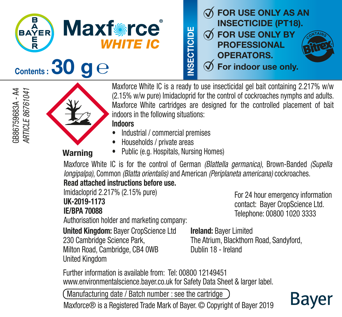**BAYER Maxforce**<sup>®</sup> **WHITE IC** 



GB86759683A - A4<br>ARTICLE 86761041 GB86759683A - A4 *ARTICLE 86761041*



Maxforce White IC is a ready to use insecticidal gel bait containing 2.217% w/w (2.15% w/w pure) Imidacloprid for the control of cockroaches nymphs and adults. Maxforce White cartridges are designed for the controlled placement of bait indoors in the following situations:

#### Indoors

- Industrial / commercial premises
- Households / private areas

Warning

• Public (e.g. Hospitals, Nursing Homes)

Maxforce White IC is for the control of German *(Blattella germanica)*, Brown-Banded *(Supella longipalpa)*, Common *(Blatta orientalis)* and American *(Periplaneta americana)* cockroaches.

#### Read attached instructions before use.

Imidacloprid 2.217% (2.15% pure) UK-2019-1173 IE/BPA 70088

For 24 hour emergency information contact: Bayer CropScience Ltd. Telephone: 00800 1020 3333

Bayer

Authorisation holder and marketing company:

United Kingdom: Bayer CropScience Ltd 230 Cambridge Science Park, Milton Road, Cambridge, CB4 0WB United Kingdom

Ireland: Bayer Limited The Atrium, Blackthorn Road, Sandyford, Dublin 18 - Ireland

Further information is available from: Tel: 00800 12149451 www.environmentalscience.bayer.co.uk for Safety Data Sheet & larger label.

Manufacturing date / Batch number : see the cartridge

Maxforce® is a Registered Trade Mark of Bayer. © Copyright of Bayer 2019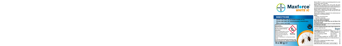

# **INSECTICIDE**

 $\%$  FOR USE ONLY AS AN INSECTICIDE (PT18).  $\mathcal{A}$  FOR USE ONLY BY PROFESSIONAL OPERATORS.  $\emptyset$  For indoor use only.

Safety information MAXFORCE WHITE IC. Contains 2.217% (2.15% pure) Imidacloprid. Very toxic to aquatic life with long lasting effects.  $\frac{1}{2}$ Dispose of contents/container to a licensed hazardous-waste disposal contractor or collection site except for empty clean Warning containers which can be disposed of as non-hazardous waste. Contains 1,2-Benzisothiazolin-3-one. May produce an allergic reaction. To avoid risks to human health and the environment, comply with the instructions for use. UK-2019-1173, IE/BPA 70088 4 x 30 g  $\theta$ 

Maxforce White IC is a ready to use insecticidal gel bait for the control<br>of cockroaches, nymphs and adults.<br>Maxforce White IC contains 2.217% w/w (2.15% w/w pure)

Imidacloprid, along with foodstuffs which are particularly attractive to cockroaches and colloidal materials which maintain attractiveness of the balt and provide cockroaches with a source of liquid.<br>The balt and provide c

and is inconspicuous in use.<br>Maxforce White cartridges are designed for the controlled placement<br>of bait indoors in the following situations:



#### Indoors

Cockroach Control

- 
- 

• Industrial / commercial premises • Households / private areas • Public (e.g. Hospitals, Nursing Homes) Use biocides safely and sustainably.

Always read the label or leaflet before use and follow all the instructions provided.

It is illegal to use this product for uses or in <sup>a</sup> manner other than that prescribed on this label.

Manufacturing date / Batch number : see the cartridge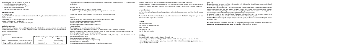Maxforce White IC is for use Indoors for the control of:

- German Cockroaches *(Blattella germanica)*
- Brown-Banded Cockroaches *(Supella longipalpa)*
- Oriental Cockroaches *(Blatta orientalis)*
- American Cockroaches *(Periplaneta americana)*

### DIRECTIONS FOR USE

#### For indoor use only.

Apply Maxforce White IC as spots or thin ribbons to surfaces in identified target areas, it can be placed in corners, cracks and crevices and voids.

The application rate is adjusted to the size of the infestation.

One spot  $= 0.1$  g (approx. 7 mm diameter).

A thin ribbon equating to 1 spot can alternatively be applied.

## Application equipment:

Maxforce White IC is dispensed using a suitable gel applicator. When the treatment has been completed remove the empty cartridge and dispose of safely. If the cartridge is only partially used, remove it from the applicator, seal it with the end cap provided and store as directed.

# Application Rate:

Store in original container. Keep in a cool, dry, well ventilated area. Protect from frost. Store away from light. Shelf life of up to 24 months.

| <b>Cockroach Species</b>                            | Application rate for given density of infestation * per m <sup>2</sup> |                              |
|-----------------------------------------------------|------------------------------------------------------------------------|------------------------------|
|                                                     | Low                                                                    | Hiah                         |
| Small e.g. German Cockroach, Brown banded cockroach | One spot $x$ 0.1 $\alpha$                                              | Two spots $x$ 0.1 $\alpha$   |
| Large e.g. Oriental Cockroach, American Cockroach   | Two spots $x$ 0.1 $\alpha$                                             | Three spots $x$ 0.1 $\alpha$ |

### Further Information:

Skin Contact: Remove contaminated clothing and shoes. Wash contaminated skin with soap and water. Contact poison treatment specialist if symptoms occur. Seek medical attention if irritation develops and persists.

An effect on the cockroach population can be expected very quickly dead cockroaches may be evident within 24 hours of treatment.

> Eve Contact: Rinse immediately with plenty of water, also under the eyelids, for at least 15 minutes. Do not forget to remove any contact lenses.

Maximum levels of control are achieved between two weeks and several months after treatment depending upon the level of infestation and as long as the gel is present.

 $*$  Maximum application rate of 3 x 0.1 g spots per square metre, with a maximum repeat application of  $3 - 11$  times per year per building.

#### STORAGE:

Use only in concealed areas difficult to access and kept away from water, such as cracks and crevices Adopt integrated pest management methods such as the combination of chemical, physical control methods and other public health measures, taking into account local specificities (climatic conditions, target species, conditions of use, etc). FIRST AID General: Move out of dangerous area. Place and transport victim in stable position (lying sideways). Remove contaminated clothing immediately and dispose of safely.

# DISPOSAL:

This material and its container must be disposed of in a safe way. Do not discharge unused product on the ground, into watercourses, into pipes (sink, toilets …) nor down the drains. If removing any residual hardened bait by sponging or wet cloth, all bait and used materials (sponge, cloth etc.) must be disposed of safely as domestic waste.

Ingestion: Wash out mouth with water. Contact poison treatment specialist. Seek medical advice immediately if symptoms occur and/or large quantities have been ingested. In case of impaired consciousness place in recovery position and seek medical advice immediately. Do not give fluids or induce vomiting. Keep container or label available. If necessary take the person to hospital and show the labelling or packaging. Do not leave poisoned person alone.

Poison Information for Ireland: For information or to report a poisoning incident contact The National Poisons Information Centre, Beaumont Hospital, Dublin (01-8092166), retain the label for reference.

### Maximum rates of:

- 60 x 0.1 g spots (i.e. 6 g of bait) in a domestic dwelling;
- 270 x 0.1 g spots (i.e. 27.0 g of bait) in a larger building should not be exceeded.

Should higher amounts of bait be required, then a bait station should be used indoors.

#### General:

Do not apply directly to surfaces on which food or feed is stored, prepared or eaten. Use only in positions inaccessible to children and animals. Prevent access to bait by children and animals. Wash hands and exposed skin before meals and after use. Hazardous to Bees. Do not apply to areas susceptible to routine wet cleaning. Do not use the product in areas where resistance to the active substance (s) is suspected or established. In case of re-infestation, reapply the product without exceeding the maximum number of treatments authorised per year. Inform the registration holder if the treatment is ineffective. Before treatment, remove all other sources of food for cockroaches (waste, food scraps ...) from the infested area to encourage the ingestion of the gel. Do not apply the product on absorbent surfaces. Do not expose bait drops to sunlight or heat (i.e radiator) Avoid continuous use of the product. Alternate products containing active substances with a different mode of action.